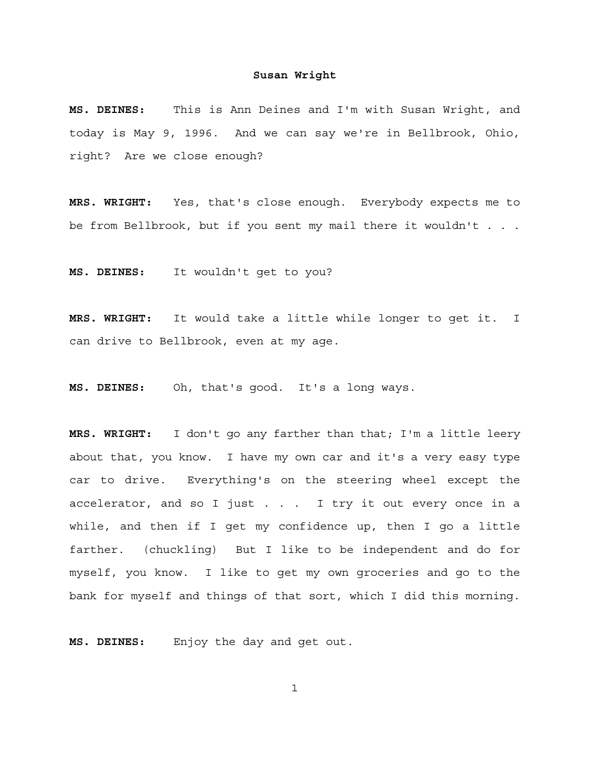**MS. DEINES:** This is Ann Deines and I'm with Susan Wright, and today is May 9, 1996. And we can say we're in Bellbrook, Ohio, right? Are we close enough?

**MRS. WRIGHT:** Yes, that's close enough. Everybody expects me to be from Bellbrook, but if you sent my mail there it wouldn't . . .

**MS. DEINES:** It wouldn't get to you?

**MRS. WRIGHT:** It would take a little while longer to get it. I can drive to Bellbrook, even at my age.

**MS. DEINES:** Oh, that's good. It's a long ways.

**MRS. WRIGHT:** I don't go any farther than that; I'm a little leery about that, you know. I have my own car and it's a very easy type car to drive. Everything's on the steering wheel except the accelerator, and so I just . . . I try it out every once in a while, and then if I get my confidence up, then I go a little farther. (chuckling) But I like to be independent and do for myself, you know. I like to get my own groceries and go to the bank for myself and things of that sort, which I did this morning.

**MS. DEINES:** Enjoy the day and get out.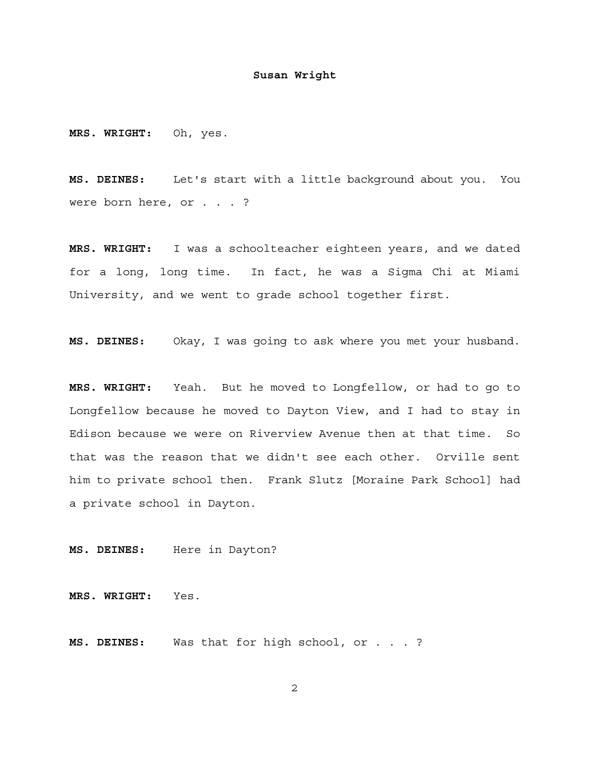**MRS. WRIGHT:** Oh, yes.

**MS. DEINES:** Let's start with a little background about you. You were born here, or . . . ?

**MRS. WRIGHT:** I was a schoolteacher eighteen years, and we dated for a long, long time. In fact, he was a Sigma Chi at Miami University, and we went to grade school together first.

**MS. DEINES:** Okay, I was going to ask where you met your husband.

**MRS. WRIGHT:** Yeah. But he moved to Longfellow, or had to go to Longfellow because he moved to Dayton View, and I had to stay in Edison because we were on Riverview Avenue then at that time. So that was the reason that we didn't see each other. Orville sent him to private school then. Frank Slutz [Moraine Park School] had a private school in Dayton.

**MS. DEINES:** Here in Dayton?

**MRS. WRIGHT:** Yes.

**MS. DEINES:** Was that for high school, or . . . ?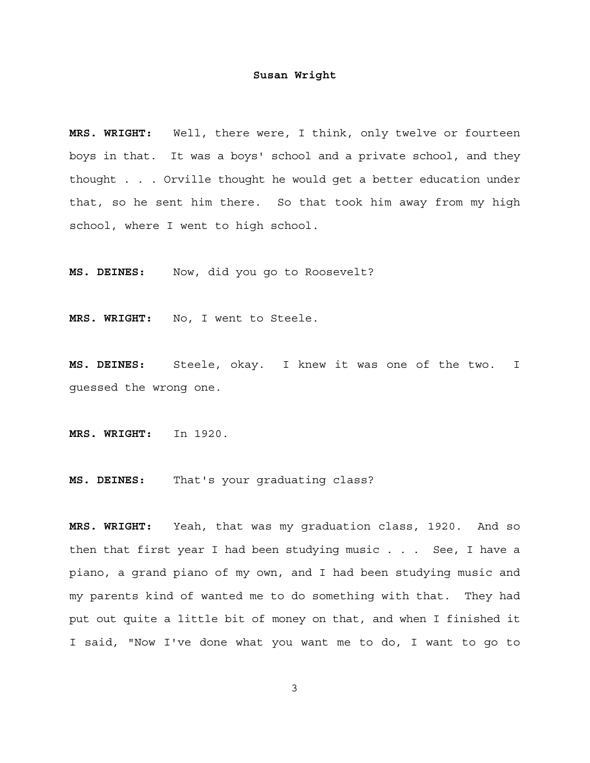**MRS. WRIGHT:** Well, there were, I think, only twelve or fourteen boys in that. It was a boys' school and a private school, and they thought . . . Orville thought he would get a better education under that, so he sent him there. So that took him away from my high school, where I went to high school.

**MS. DEINES:** Now, did you go to Roosevelt?

**MRS. WRIGHT:** No, I went to Steele.

**MS. DEINES:** Steele, okay. I knew it was one of the two. I guessed the wrong one.

**MRS. WRIGHT:** In 1920.

**MS. DEINES:** That's your graduating class?

**MRS. WRIGHT:** Yeah, that was my graduation class, 1920. And so then that first year I had been studying music . . . See, I have a piano, a grand piano of my own, and I had been studying music and my parents kind of wanted me to do something with that. They had put out quite a little bit of money on that, and when I finished it I said, "Now I've done what you want me to do, I want to go to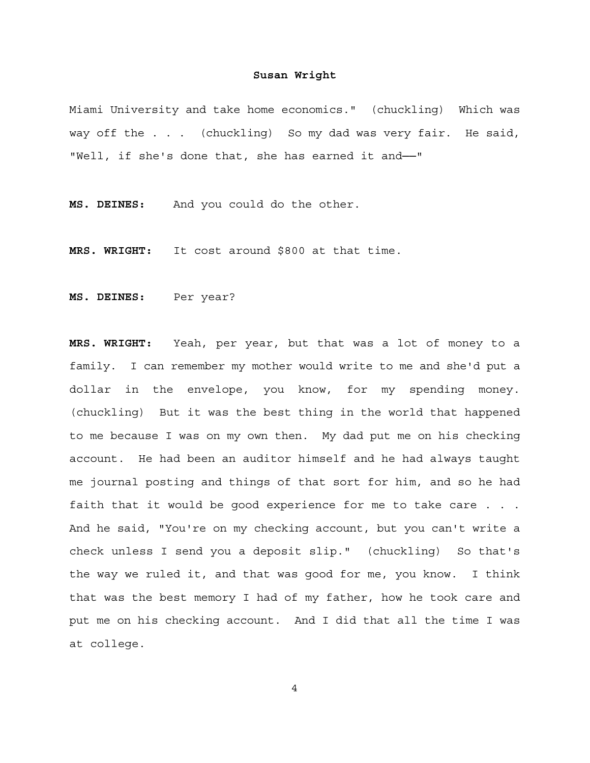Miami University and take home economics." (chuckling) Which was way off the . . . (chuckling) So my dad was very fair. He said, "Well, if she's done that, she has earned it and-"

**MS. DEINES:** And you could do the other.

**MRS. WRIGHT:** It cost around \$800 at that time.

**MS. DEINES:** Per year?

**MRS. WRIGHT:** Yeah, per year, but that was a lot of money to a family. I can remember my mother would write to me and she'd put a dollar in the envelope, you know, for my spending money. (chuckling) But it was the best thing in the world that happened to me because I was on my own then. My dad put me on his checking account. He had been an auditor himself and he had always taught me journal posting and things of that sort for him, and so he had faith that it would be good experience for me to take care . . . And he said, "You're on my checking account, but you can't write a check unless I send you a deposit slip." (chuckling) So that's the way we ruled it, and that was good for me, you know. I think that was the best memory I had of my father, how he took care and put me on his checking account. And I did that all the time I was at college.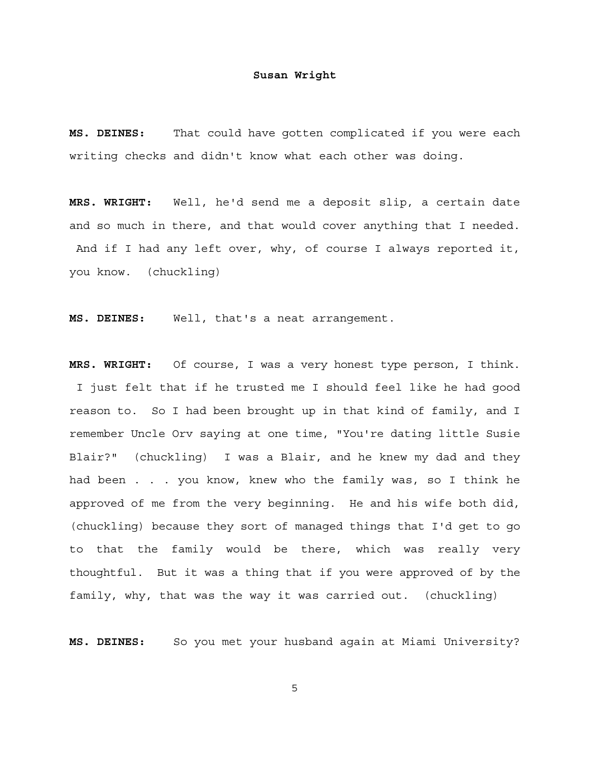**MS. DEINES:** That could have gotten complicated if you were each writing checks and didn't know what each other was doing.

**MRS. WRIGHT:** Well, he'd send me a deposit slip, a certain date and so much in there, and that would cover anything that I needed. And if I had any left over, why, of course I always reported it, you know. (chuckling)

**MS. DEINES:** Well, that's a neat arrangement.

**MRS. WRIGHT:** Of course, I was a very honest type person, I think. I just felt that if he trusted me I should feel like he had good reason to. So I had been brought up in that kind of family, and I remember Uncle Orv saying at one time, "You're dating little Susie Blair?" (chuckling) I was a Blair, and he knew my dad and they had been . . . you know, knew who the family was, so I think he approved of me from the very beginning. He and his wife both did, (chuckling) because they sort of managed things that I'd get to go to that the family would be there, which was really very thoughtful. But it was a thing that if you were approved of by the family, why, that was the way it was carried out. (chuckling)

**MS. DEINES:** So you met your husband again at Miami University?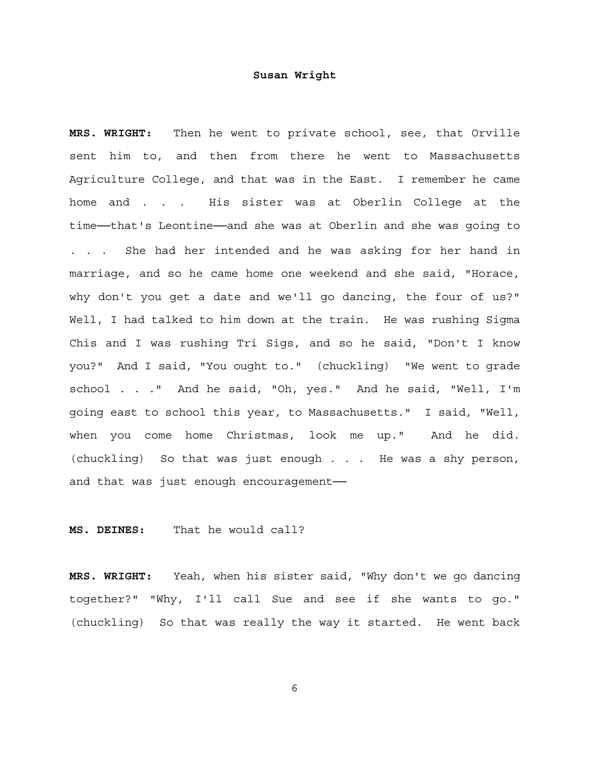**MRS. WRIGHT:** Then he went to private school, see, that Orville sent him to, and then from there he went to Massachusetts Agriculture College, and that was in the East. I remember he came home and . . . His sister was at Oberlin College at the time--that's Leontine-and she was at Oberlin and she was going to . . . She had her intended and he was asking for her hand in marriage, and so he came home one weekend and she said, "Horace, why don't you get a date and we'll go dancing, the four of us?" Well, I had talked to him down at the train. He was rushing Sigma Chis and I was rushing Tri Sigs, and so he said, "Don't I know you?" And I said, "You ought to." (chuckling) "We went to grade school . . ." And he said, "Oh, yes." And he said, "Well, I'm going east to school this year, to Massachusetts." I said, "Well, when you come home Christmas, look me up." And he did. (chuckling) So that was just enough . . . He was a shy person, and that was just enough encouragement-

## **MS. DEINES:** That he would call?

**MRS. WRIGHT:** Yeah, when his sister said, "Why don't we go dancing together?" "Why, I'll call Sue and see if she wants to go." (chuckling) So that was really the way it started. He went back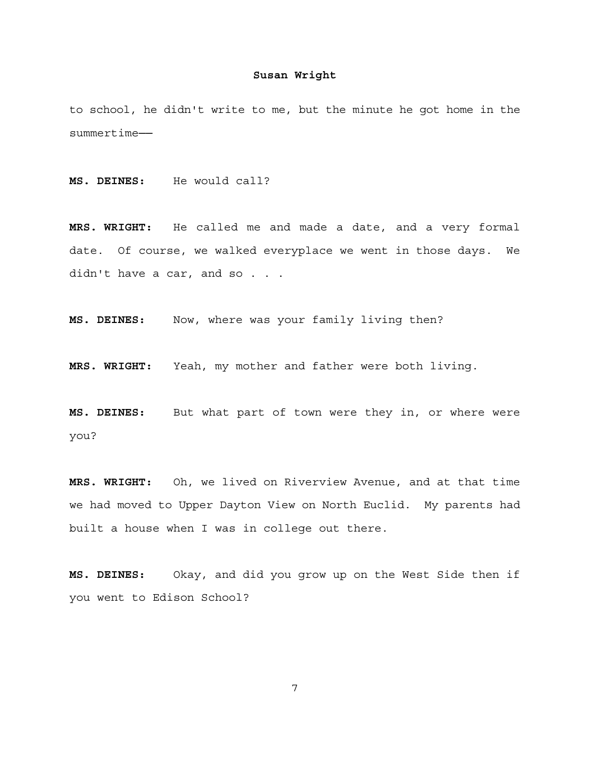to school, he didn't write to me, but the minute he got home in the summertime-

**MS. DEINES:** He would call?

**MRS. WRIGHT:** He called me and made a date, and a very formal date. Of course, we walked everyplace we went in those days. We didn't have a car, and so . . .

**MS. DEINES:** Now, where was your family living then?

**MRS. WRIGHT:** Yeah, my mother and father were both living.

**MS. DEINES:** But what part of town were they in, or where were you?

**MRS. WRIGHT:** Oh, we lived on Riverview Avenue, and at that time we had moved to Upper Dayton View on North Euclid. My parents had built a house when I was in college out there.

**MS. DEINES:** Okay, and did you grow up on the West Side then if you went to Edison School?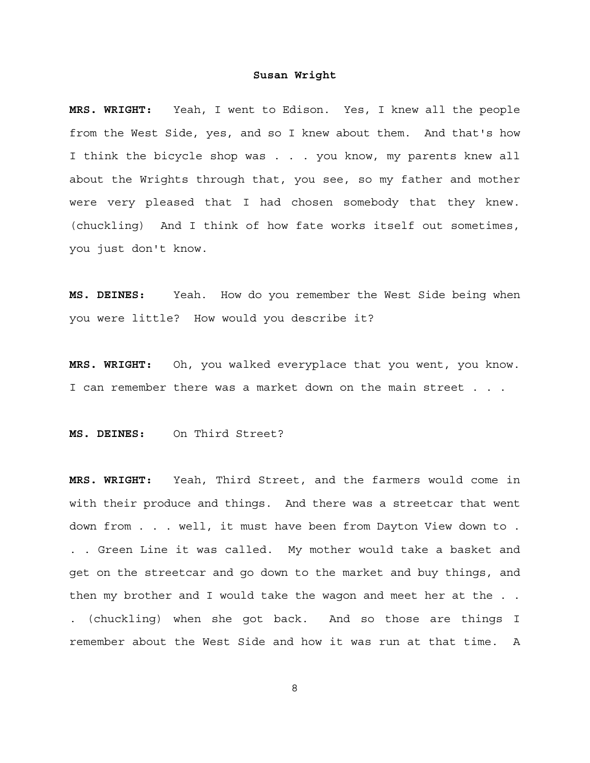**MRS. WRIGHT:** Yeah, I went to Edison. Yes, I knew all the people from the West Side, yes, and so I knew about them. And that's how I think the bicycle shop was . . . you know, my parents knew all about the Wrights through that, you see, so my father and mother were very pleased that I had chosen somebody that they knew. (chuckling) And I think of how fate works itself out sometimes, you just don't know.

**MS. DEINES:** Yeah. How do you remember the West Side being when you were little? How would you describe it?

**MRS. WRIGHT:** Oh, you walked everyplace that you went, you know. I can remember there was a market down on the main street . . .

**MS. DEINES:** On Third Street?

**MRS. WRIGHT:** Yeah, Third Street, and the farmers would come in with their produce and things. And there was a streetcar that went down from . . . well, it must have been from Dayton View down to . . . Green Line it was called. My mother would take a basket and get on the streetcar and go down to the market and buy things, and then my brother and I would take the wagon and meet her at the . . . (chuckling) when she got back. And so those are things I remember about the West Side and how it was run at that time. A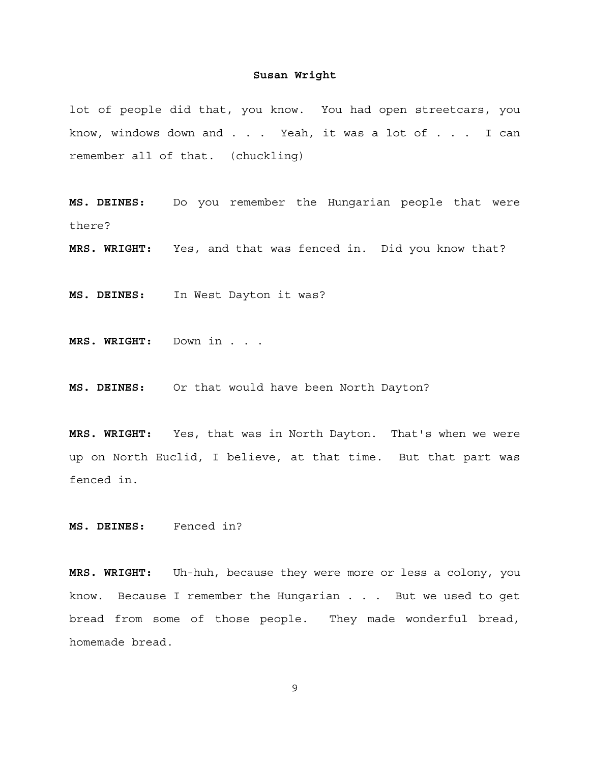lot of people did that, you know. You had open streetcars, you know, windows down and . . . Yeah, it was a lot of . . . I can remember all of that. (chuckling)

**MS. DEINES:** Do you remember the Hungarian people that were there?

**MRS. WRIGHT:** Yes, and that was fenced in. Did you know that?

**MS. DEINES:** In West Dayton it was?

**MRS. WRIGHT:** Down in . . .

**MS. DEINES:** Or that would have been North Dayton?

**MRS. WRIGHT:** Yes, that was in North Dayton. That's when we were up on North Euclid, I believe, at that time. But that part was fenced in.

**MS. DEINES:** Fenced in?

**MRS. WRIGHT:** Uh-huh, because they were more or less a colony, you know. Because I remember the Hungarian . . . But we used to get bread from some of those people. They made wonderful bread, homemade bread.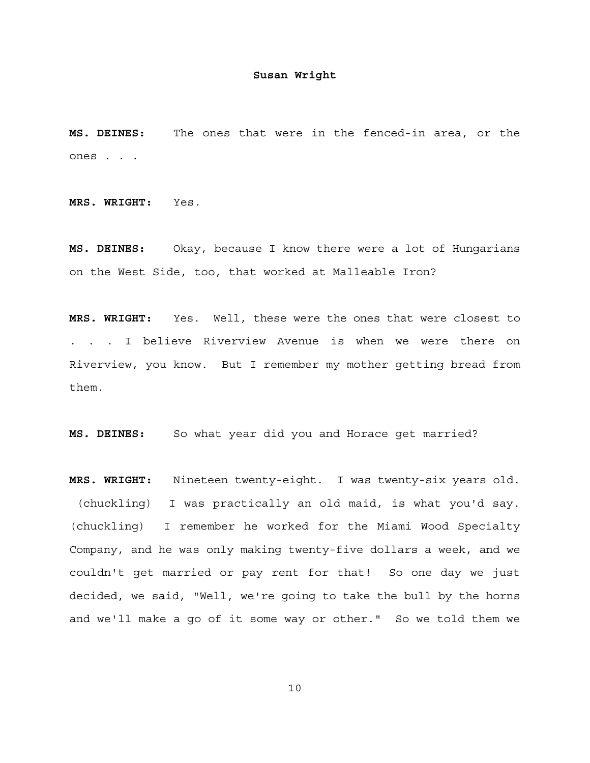**MS. DEINES:** The ones that were in the fenced-in area, or the ones . . .

**MRS. WRIGHT:** Yes.

**MS. DEINES:** Okay, because I know there were a lot of Hungarians on the West Side, too, that worked at Malleable Iron?

**MRS. WRIGHT:** Yes. Well, these were the ones that were closest to . . . I believe Riverview Avenue is when we were there on Riverview, you know. But I remember my mother getting bread from them.

**MS. DEINES:** So what year did you and Horace get married?

**MRS. WRIGHT:** Nineteen twenty-eight. I was twenty-six years old. (chuckling) I was practically an old maid, is what you'd say. (chuckling) I remember he worked for the Miami Wood Specialty Company, and he was only making twenty-five dollars a week, and we couldn't get married or pay rent for that! So one day we just decided, we said, "Well, we're going to take the bull by the horns and we'll make a go of it some way or other." So we told them we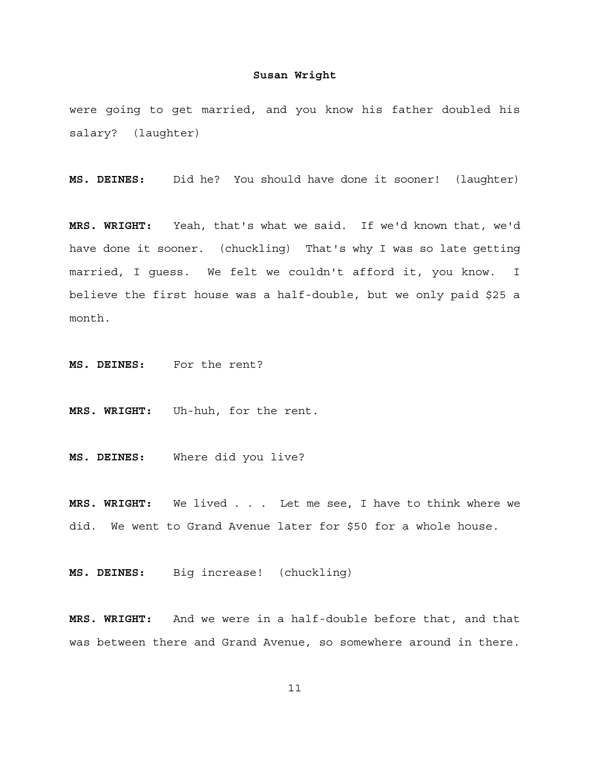were going to get married, and you know his father doubled his salary? (laughter)

**MS. DEINES:** Did he? You should have done it sooner! (laughter)

**MRS. WRIGHT:** Yeah, that's what we said. If we'd known that, we'd have done it sooner. (chuckling) That's why I was so late getting married, I guess. We felt we couldn't afford it, you know. I believe the first house was a half-double, but we only paid \$25 a month.

**MS. DEINES:** For the rent?

**MRS. WRIGHT:** Uh-huh, for the rent.

**MS. DEINES:** Where did you live?

**MRS. WRIGHT:** We lived . . . Let me see, I have to think where we did. We went to Grand Avenue later for \$50 for a whole house.

**MS. DEINES:** Big increase! (chuckling)

**MRS. WRIGHT:** And we were in a half-double before that, and that was between there and Grand Avenue, so somewhere around in there.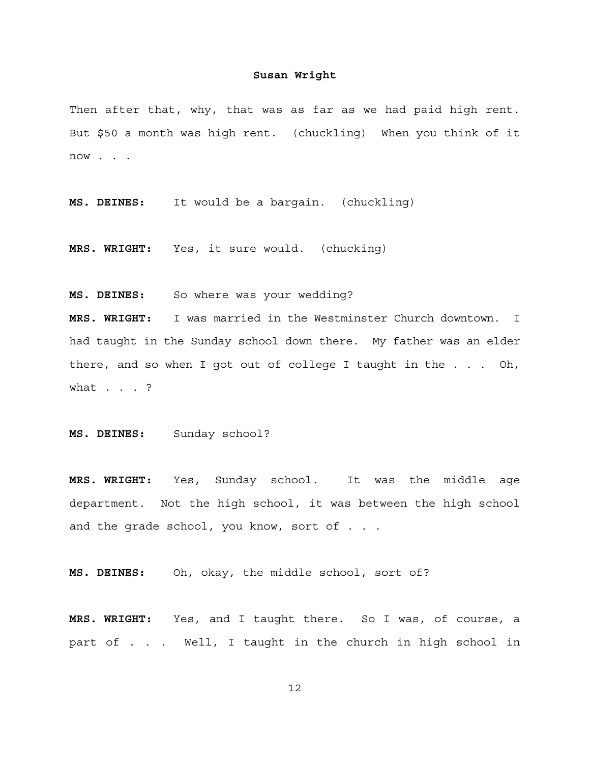Then after that, why, that was as far as we had paid high rent. But \$50 a month was high rent. (chuckling) When you think of it now . . .

**MS. DEINES:** It would be a bargain. (chuckling)

**MRS. WRIGHT:** Yes, it sure would. (chucking)

**MS. DEINES:** So where was your wedding?

**MRS. WRIGHT:** I was married in the Westminster Church downtown. I had taught in the Sunday school down there. My father was an elder there, and so when I got out of college I taught in the . . . Oh, what . . . ?

**MS. DEINES:** Sunday school?

**MRS. WRIGHT:** Yes, Sunday school. It was the middle age department. Not the high school, it was between the high school and the grade school, you know, sort of . . .

**MS. DEINES:** Oh, okay, the middle school, sort of?

**MRS. WRIGHT:** Yes, and I taught there. So I was, of course, a part of . . . Well, I taught in the church in high school in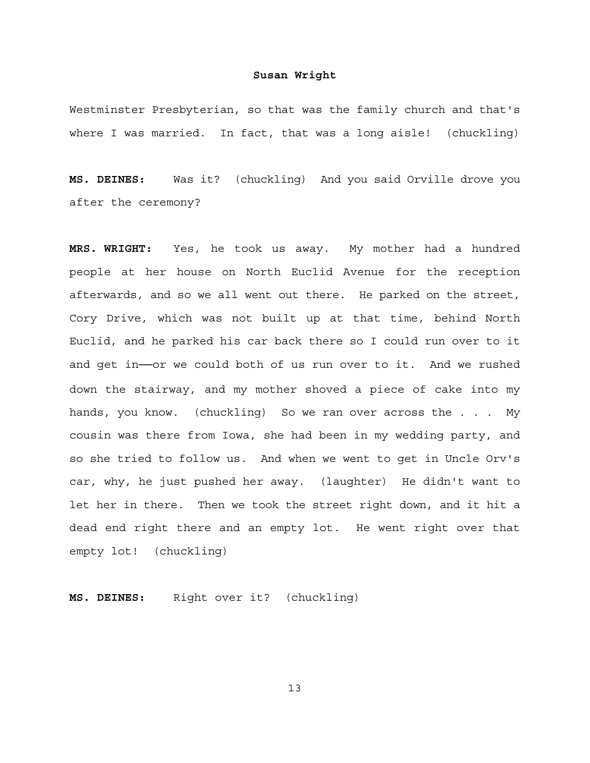Westminster Presbyterian, so that was the family church and that's where I was married. In fact, that was a long aisle! (chuckling)

**MS. DEINES:** Was it? (chuckling) And you said Orville drove you after the ceremony?

**MRS. WRIGHT:** Yes, he took us away. My mother had a hundred people at her house on North Euclid Avenue for the reception afterwards, and so we all went out there. He parked on the street, Cory Drive, which was not built up at that time, behind North Euclid, and he parked his car back there so I could run over to it and get in--or we could both of us run over to it. And we rushed down the stairway, and my mother shoved a piece of cake into my hands, you know. (chuckling) So we ran over across the . . . My cousin was there from Iowa, she had been in my wedding party, and so she tried to follow us. And when we went to get in Uncle Orv's car, why, he just pushed her away. (laughter) He didn't want to let her in there. Then we took the street right down, and it hit a dead end right there and an empty lot. He went right over that empty lot! (chuckling)

**MS. DEINES:** Right over it? (chuckling)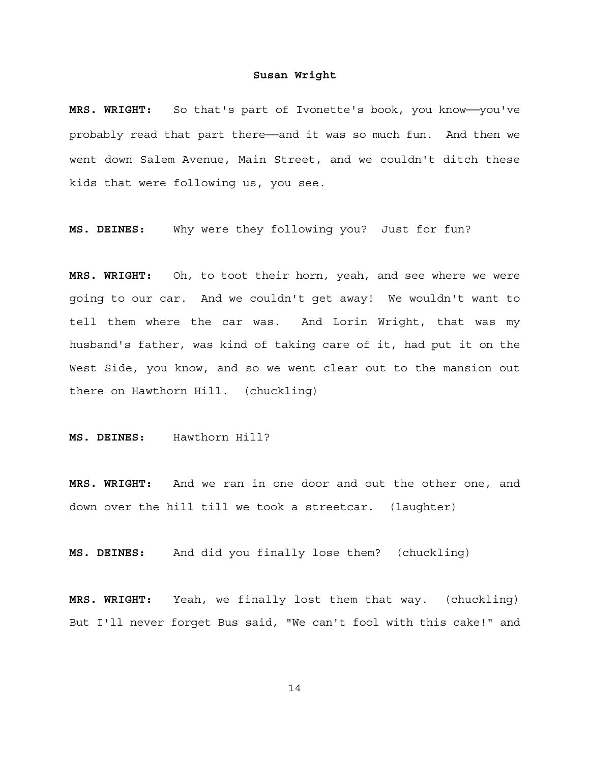**MRS. WRIGHT:** So that's part of Ivonette's book, you know──you've probably read that part there—and it was so much fun. And then we went down Salem Avenue, Main Street, and we couldn't ditch these kids that were following us, you see.

**MS. DEINES:** Why were they following you? Just for fun?

**MRS. WRIGHT:** Oh, to toot their horn, yeah, and see where we were going to our car. And we couldn't get away! We wouldn't want to tell them where the car was. And Lorin Wright, that was my husband's father, was kind of taking care of it, had put it on the West Side, you know, and so we went clear out to the mansion out there on Hawthorn Hill. (chuckling)

**MS. DEINES:** Hawthorn Hill?

**MRS. WRIGHT:** And we ran in one door and out the other one, and down over the hill till we took a streetcar. (laughter)

**MS. DEINES:** And did you finally lose them? (chuckling)

**MRS. WRIGHT:** Yeah, we finally lost them that way. (chuckling) But I'll never forget Bus said, "We can't fool with this cake!" and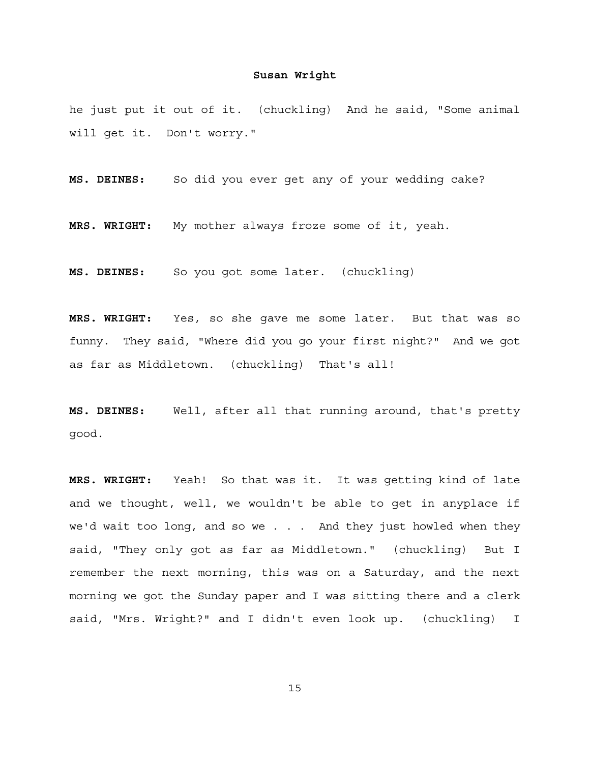he just put it out of it. (chuckling) And he said, "Some animal will get it. Don't worry."

**MS. DEINES:** So did you ever get any of your wedding cake?

**MRS. WRIGHT:** My mother always froze some of it, yeah.

**MS. DEINES:** So you got some later. (chuckling)

**MRS. WRIGHT:** Yes, so she gave me some later. But that was so funny. They said, "Where did you go your first night?" And we got as far as Middletown. (chuckling) That's all!

**MS. DEINES:** Well, after all that running around, that's pretty good.

**MRS. WRIGHT:** Yeah! So that was it. It was getting kind of late and we thought, well, we wouldn't be able to get in anyplace if we'd wait too long, and so we  $\ldots$  . And they just howled when they said, "They only got as far as Middletown." (chuckling) But I remember the next morning, this was on a Saturday, and the next morning we got the Sunday paper and I was sitting there and a clerk said, "Mrs. Wright?" and I didn't even look up. (chuckling) I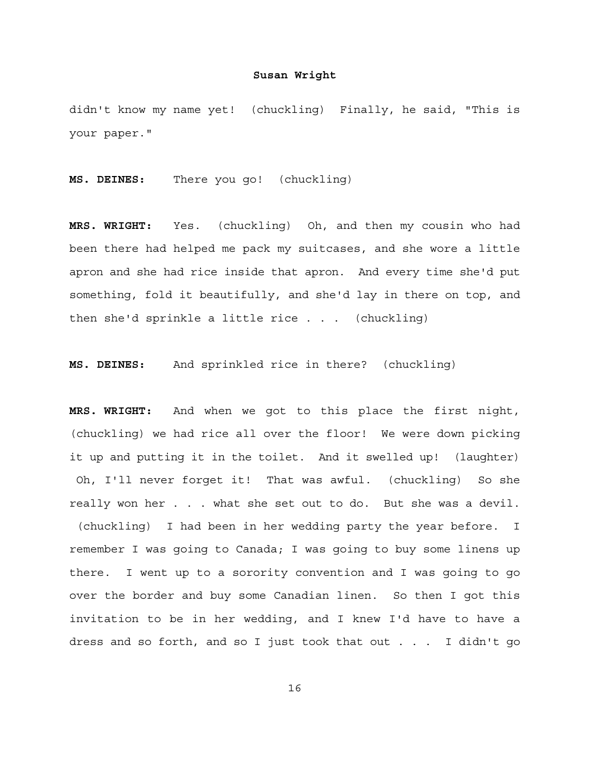didn't know my name yet! (chuckling) Finally, he said, "This is your paper."

**MS. DEINES:** There you go! (chuckling)

**MRS. WRIGHT:** Yes. (chuckling) Oh, and then my cousin who had been there had helped me pack my suitcases, and she wore a little apron and she had rice inside that apron. And every time she'd put something, fold it beautifully, and she'd lay in there on top, and then she'd sprinkle a little rice  $\ldots$  (chuckling)

**MS. DEINES:** And sprinkled rice in there? (chuckling)

**MRS. WRIGHT:** And when we got to this place the first night, (chuckling) we had rice all over the floor! We were down picking it up and putting it in the toilet. And it swelled up! (laughter) Oh, I'll never forget it! That was awful. (chuckling) So she really won her . . . what she set out to do. But she was a devil. (chuckling) I had been in her wedding party the year before. I remember I was going to Canada; I was going to buy some linens up there. I went up to a sorority convention and I was going to go over the border and buy some Canadian linen. So then I got this invitation to be in her wedding, and I knew I'd have to have a dress and so forth, and so I just took that out . . . I didn't go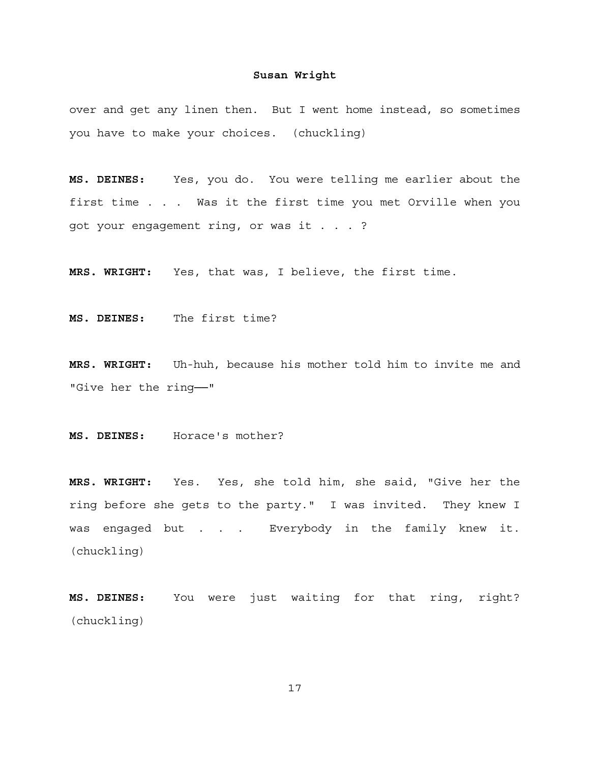over and get any linen then. But I went home instead, so sometimes you have to make your choices. (chuckling)

**MS. DEINES:** Yes, you do. You were telling me earlier about the first time . . . Was it the first time you met Orville when you got your engagement ring, or was it . . . ?

**MRS. WRIGHT:** Yes, that was, I believe, the first time.

**MS. DEINES:** The first time?

**MRS. WRIGHT:** Uh-huh, because his mother told him to invite me and "Give her the ring──"

**MS. DEINES:** Horace's mother?

**MRS. WRIGHT:** Yes. Yes, she told him, she said, "Give her the ring before she gets to the party." I was invited. They knew I was engaged but . . . Everybody in the family knew it. (chuckling)

**MS. DEINES:** You were just waiting for that ring, right? (chuckling)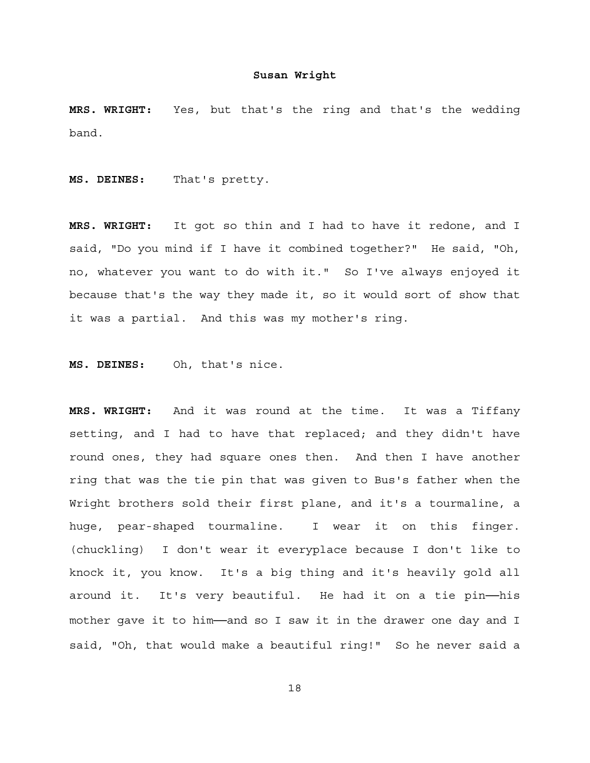**MRS. WRIGHT:** Yes, but that's the ring and that's the wedding band.

**MS. DEINES:** That's pretty.

**MRS. WRIGHT:** It got so thin and I had to have it redone, and I said, "Do you mind if I have it combined together?" He said, "Oh, no, whatever you want to do with it." So I've always enjoyed it because that's the way they made it, so it would sort of show that it was a partial. And this was my mother's ring.

**MS. DEINES:** Oh, that's nice.

**MRS. WRIGHT:** And it was round at the time. It was a Tiffany setting, and I had to have that replaced; and they didn't have round ones, they had square ones then. And then I have another ring that was the tie pin that was given to Bus's father when the Wright brothers sold their first plane, and it's a tourmaline, a huge, pear-shaped tourmaline. I wear it on this finger. (chuckling) I don't wear it everyplace because I don't like to knock it, you know. It's a big thing and it's heavily gold all around it. It's very beautiful. He had it on a tie pin--his mother gave it to him—and so I saw it in the drawer one day and I said, "Oh, that would make a beautiful ring!" So he never said a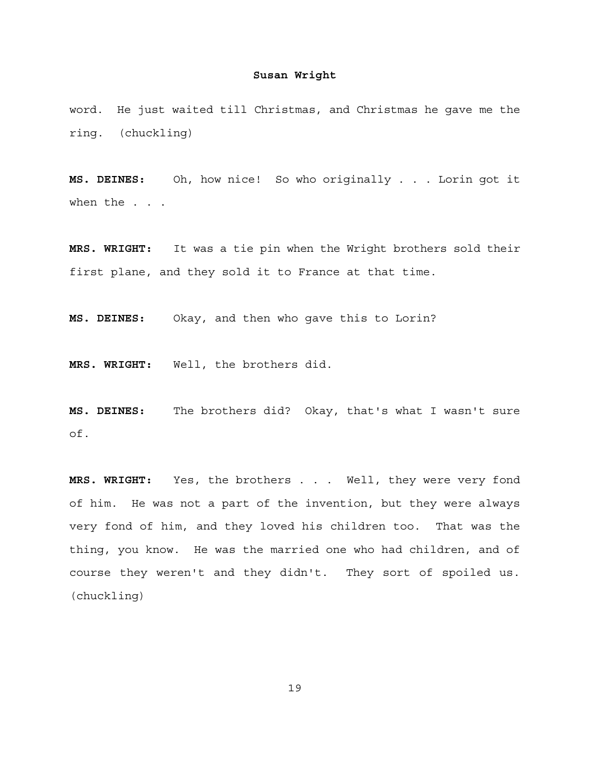word. He just waited till Christmas, and Christmas he gave me the ring. (chuckling)

**MS. DEINES:** Oh, how nice! So who originally . . . Lorin got it when the . . .

**MRS. WRIGHT:** It was a tie pin when the Wright brothers sold their first plane, and they sold it to France at that time.

**MS. DEINES:** Okay, and then who gave this to Lorin?

**MRS. WRIGHT:** Well, the brothers did.

**MS. DEINES:** The brothers did? Okay, that's what I wasn't sure of.

**MRS. WRIGHT:** Yes, the brothers . . . Well, they were very fond of him. He was not a part of the invention, but they were always very fond of him, and they loved his children too. That was the thing, you know. He was the married one who had children, and of course they weren't and they didn't. They sort of spoiled us. (chuckling)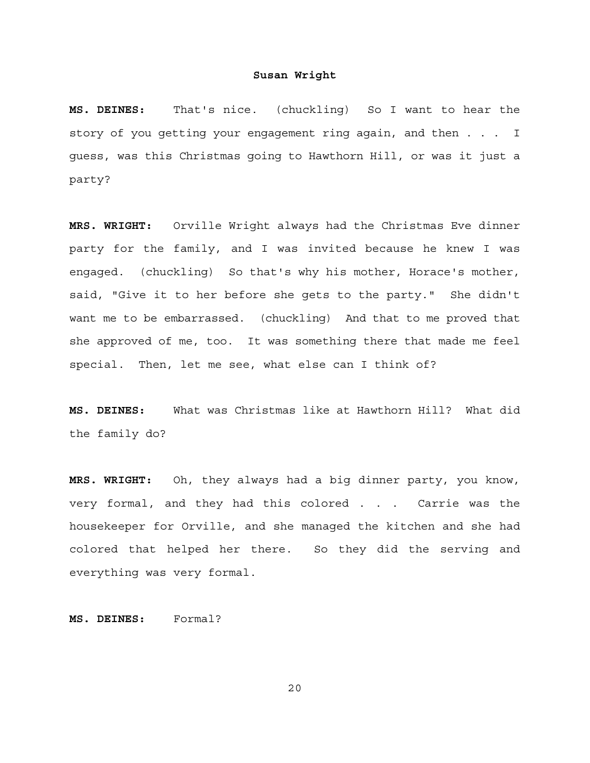**MS. DEINES:** That's nice. (chuckling) So I want to hear the story of you getting your engagement ring again, and then . . . I guess, was this Christmas going to Hawthorn Hill, or was it just a party?

**MRS. WRIGHT:** Orville Wright always had the Christmas Eve dinner party for the family, and I was invited because he knew I was engaged. (chuckling) So that's why his mother, Horace's mother, said, "Give it to her before she gets to the party." She didn't want me to be embarrassed. (chuckling) And that to me proved that she approved of me, too. It was something there that made me feel special. Then, let me see, what else can I think of?

**MS. DEINES:** What was Christmas like at Hawthorn Hill? What did the family do?

**MRS. WRIGHT:** Oh, they always had a big dinner party, you know, very formal, and they had this colored . . . Carrie was the housekeeper for Orville, and she managed the kitchen and she had colored that helped her there. So they did the serving and everything was very formal.

**MS. DEINES:** Formal?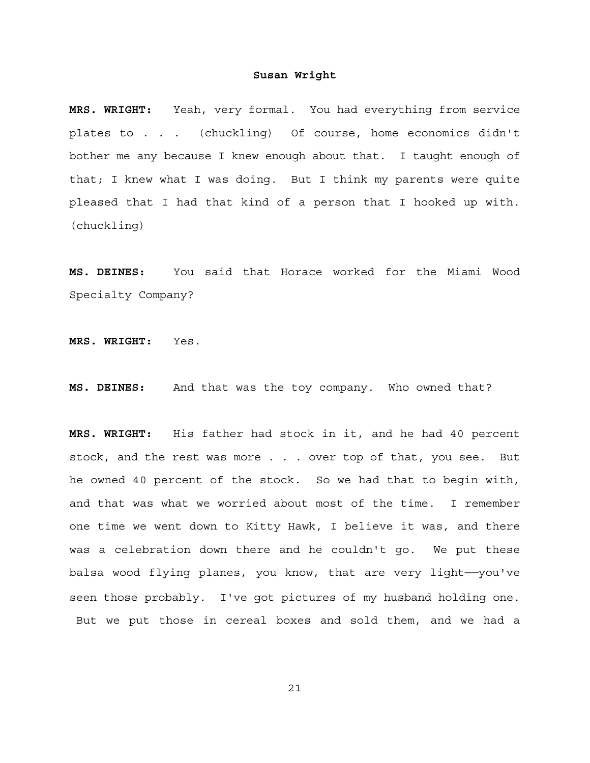**MRS. WRIGHT:** Yeah, very formal. You had everything from service plates to . . . (chuckling) Of course, home economics didn't bother me any because I knew enough about that. I taught enough of that; I knew what I was doing. But I think my parents were quite pleased that I had that kind of a person that I hooked up with. (chuckling)

**MS. DEINES:** You said that Horace worked for the Miami Wood Specialty Company?

**MRS. WRIGHT:** Yes.

**MS. DEINES:** And that was the toy company. Who owned that?

**MRS. WRIGHT:** His father had stock in it, and he had 40 percent stock, and the rest was more . . . over top of that, you see. But he owned 40 percent of the stock. So we had that to begin with, and that was what we worried about most of the time. I remember one time we went down to Kitty Hawk, I believe it was, and there was a celebration down there and he couldn't go. We put these balsa wood flying planes, you know, that are very light──you've seen those probably. I've got pictures of my husband holding one. But we put those in cereal boxes and sold them, and we had a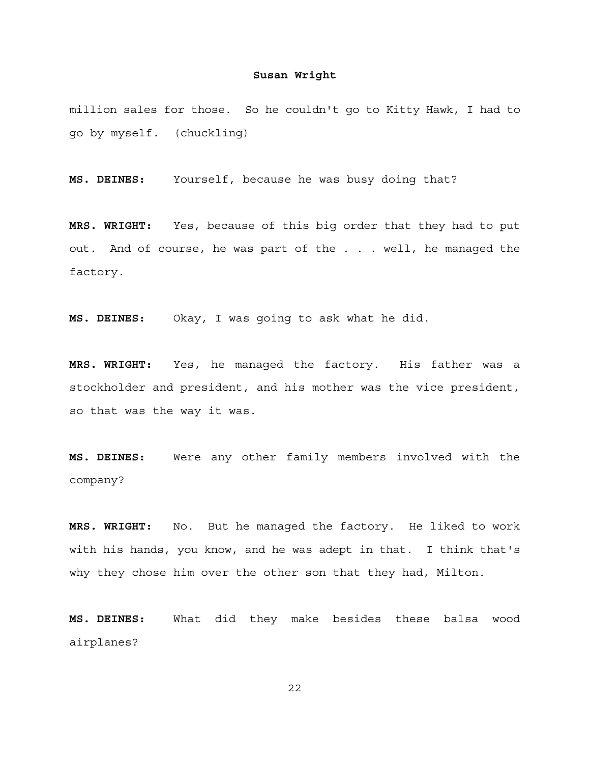million sales for those. So he couldn't go to Kitty Hawk, I had to go by myself. (chuckling)

**MS. DEINES:** Yourself, because he was busy doing that?

**MRS. WRIGHT:** Yes, because of this big order that they had to put out. And of course, he was part of the . . . well, he managed the factory.

**MS. DEINES:** Okay, I was going to ask what he did.

**MRS. WRIGHT:** Yes, he managed the factory. His father was a stockholder and president, and his mother was the vice president, so that was the way it was.

**MS. DEINES:** Were any other family members involved with the company?

**MRS. WRIGHT:** No. But he managed the factory. He liked to work with his hands, you know, and he was adept in that. I think that's why they chose him over the other son that they had, Milton.

**MS. DEINES:** What did they make besides these balsa wood airplanes?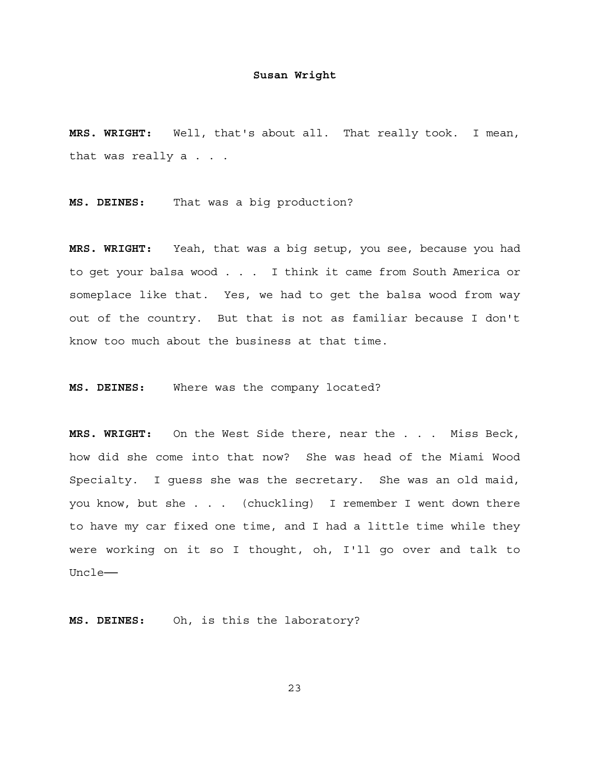**MRS. WRIGHT:** Well, that's about all. That really took. I mean, that was really a . . .

**MS. DEINES:** That was a big production?

**MRS. WRIGHT:** Yeah, that was a big setup, you see, because you had to get your balsa wood . . . I think it came from South America or someplace like that. Yes, we had to get the balsa wood from way out of the country. But that is not as familiar because I don't know too much about the business at that time.

**MS. DEINES:** Where was the company located?

**MRS. WRIGHT:** On the West Side there, near the . . . Miss Beck, how did she come into that now? She was head of the Miami Wood Specialty. I guess she was the secretary. She was an old maid, you know, but she . . . (chuckling) I remember I went down there to have my car fixed one time, and I had a little time while they were working on it so I thought, oh, I'll go over and talk to Uncle──

**MS. DEINES:** Oh, is this the laboratory?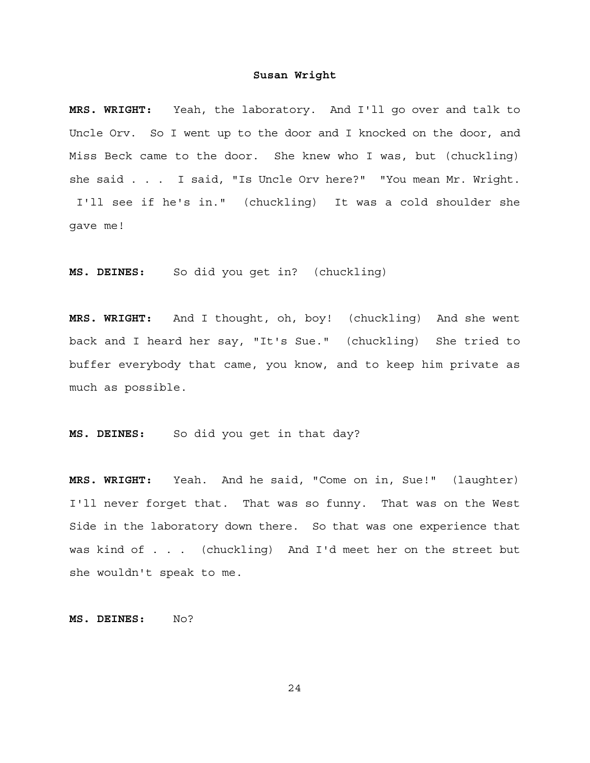**MRS. WRIGHT:** Yeah, the laboratory. And I'll go over and talk to Uncle Orv. So I went up to the door and I knocked on the door, and Miss Beck came to the door. She knew who I was, but (chuckling) she said . . . I said, "Is Uncle Orv here?" "You mean Mr. Wright. I'll see if he's in." (chuckling) It was a cold shoulder she gave me!

**MS. DEINES:** So did you get in? (chuckling)

**MRS. WRIGHT:** And I thought, oh, boy! (chuckling) And she went back and I heard her say, "It's Sue." (chuckling) She tried to buffer everybody that came, you know, and to keep him private as much as possible.

**MS. DEINES:** So did you get in that day?

**MRS. WRIGHT:** Yeah. And he said, "Come on in, Sue!" (laughter) I'll never forget that. That was so funny. That was on the West Side in the laboratory down there. So that was one experience that was kind of . . . (chuckling) And I'd meet her on the street but she wouldn't speak to me.

**MS. DEINES:** No?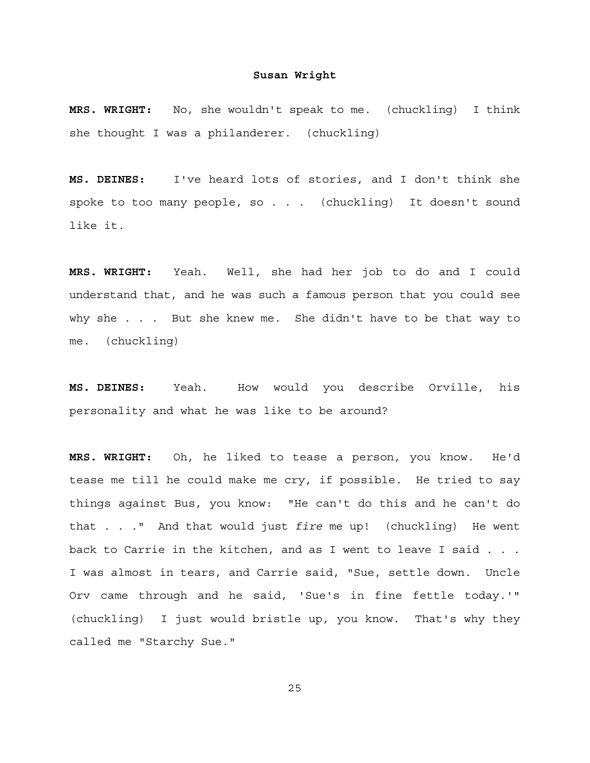**MRS. WRIGHT:** No, she wouldn't speak to me. (chuckling) I think she thought I was a philanderer. (chuckling)

**MS. DEINES:** I've heard lots of stories, and I don't think she spoke to too many people, so . . . (chuckling) It doesn't sound like it.

**MRS. WRIGHT:** Yeah. Well, she had her job to do and I could understand that, and he was such a famous person that you could see why she . . . But she knew me. She didn't have to be that way to me. (chuckling)

**MS. DEINES:** Yeah. How would you describe Orville, his personality and what he was like to be around?

**MRS. WRIGHT:** Oh, he liked to tease a person, you know. He'd tease me till he could make me cry, if possible. He tried to say things against Bus, you know: "He can't do this and he can't do that . . ." And that would just *fire* me up! (chuckling) He went back to Carrie in the kitchen, and as I went to leave I said . . . I was almost in tears, and Carrie said, "Sue, settle down. Uncle Orv came through and he said, 'Sue's in fine fettle today.'" (chuckling) I just would bristle up, you know. That's why they called me "Starchy Sue."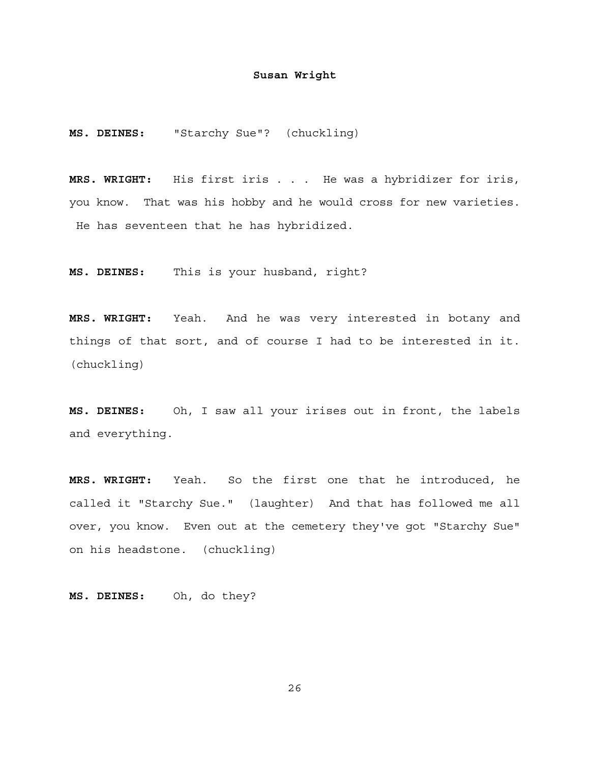**MS. DEINES:** "Starchy Sue"? (chuckling)

**MRS. WRIGHT:** His first iris . . . He was a hybridizer for iris, you know. That was his hobby and he would cross for new varieties. He has seventeen that he has hybridized.

**MS. DEINES:** This is your husband, right?

**MRS. WRIGHT:** Yeah. And he was very interested in botany and things of that sort, and of course I had to be interested in it. (chuckling)

**MS. DEINES:** Oh, I saw all your irises out in front, the labels and everything.

**MRS. WRIGHT:** Yeah. So the first one that he introduced, he called it "Starchy Sue." (laughter) And that has followed me all over, you know. Even out at the cemetery they've got "Starchy Sue" on his headstone. (chuckling)

**MS. DEINES:** Oh, do they?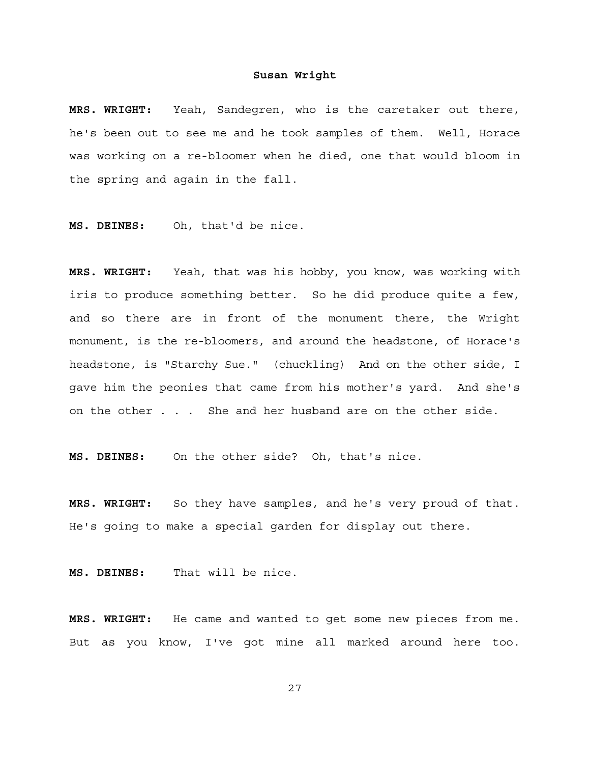**MRS. WRIGHT:** Yeah, Sandegren, who is the caretaker out there, he's been out to see me and he took samples of them. Well, Horace was working on a re-bloomer when he died, one that would bloom in the spring and again in the fall.

**MS. DEINES:** Oh, that'd be nice.

**MRS. WRIGHT:** Yeah, that was his hobby, you know, was working with iris to produce something better. So he did produce quite a few, and so there are in front of the monument there, the Wright monument, is the re-bloomers, and around the headstone, of Horace's headstone, is "Starchy Sue." (chuckling) And on the other side, I gave him the peonies that came from his mother's yard. And she's on the other . . . She and her husband are on the other side.

**MS. DEINES:** On the other side? Oh, that's nice.

**MRS. WRIGHT:** So they have samples, and he's very proud of that. He's going to make a special garden for display out there.

**MS. DEINES:** That will be nice.

**MRS. WRIGHT:** He came and wanted to get some new pieces from me. But as you know, I've got mine all marked around here too.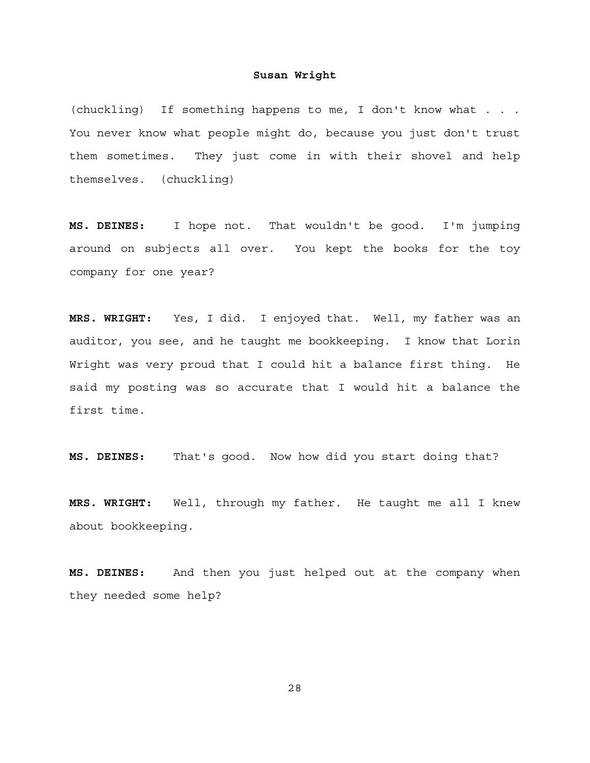(chuckling) If something happens to me, I don't know what . . . You never know what people might do, because you just don't trust them sometimes. They just come in with their shovel and help themselves. (chuckling)

**MS. DEINES:** I hope not. That wouldn't be good. I'm jumping around on subjects all over. You kept the books for the toy company for one year?

**MRS. WRIGHT:** Yes, I did. I enjoyed that. Well, my father was an auditor, you see, and he taught me bookkeeping. I know that Lorin Wright was very proud that I could hit a balance first thing. He said my posting was so accurate that I would hit a balance the first time.

**MS. DEINES:** That's good. Now how did you start doing that?

**MRS. WRIGHT:** Well, through my father. He taught me all I knew about bookkeeping.

**MS. DEINES:** And then you just helped out at the company when they needed some help?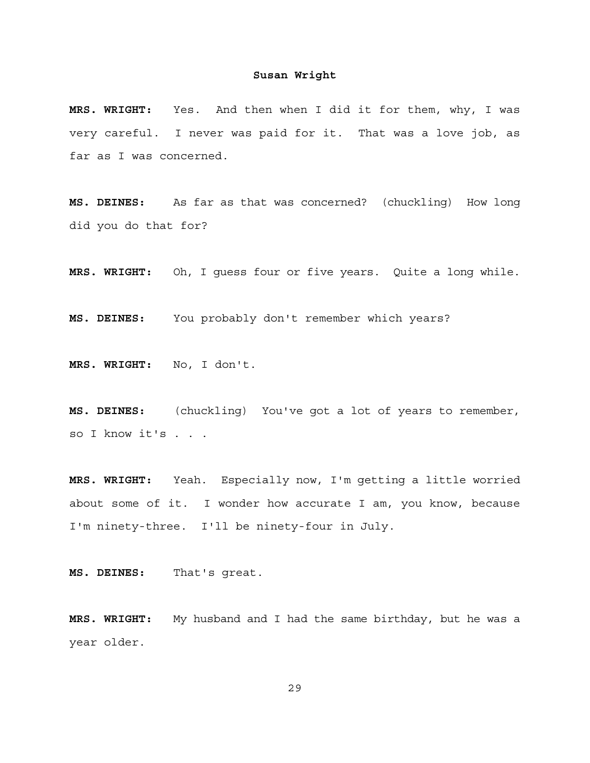**MRS. WRIGHT:** Yes. And then when I did it for them, why, I was very careful. I never was paid for it. That was a love job, as far as I was concerned.

**MS. DEINES:** As far as that was concerned? (chuckling) How long did you do that for?

**MRS. WRIGHT:** Oh, I guess four or five years. Quite a long while.

**MS. DEINES:** You probably don't remember which years?

**MRS. WRIGHT:** No, I don't.

**MS. DEINES:** (chuckling) You've got a lot of years to remember, so I know it's . . .

**MRS. WRIGHT:** Yeah. Especially now, I'm getting a little worried about some of it. I wonder how accurate I am, you know, because I'm ninety-three. I'll be ninety-four in July.

**MS. DEINES:** That's great.

**MRS. WRIGHT:** My husband and I had the same birthday, but he was a year older.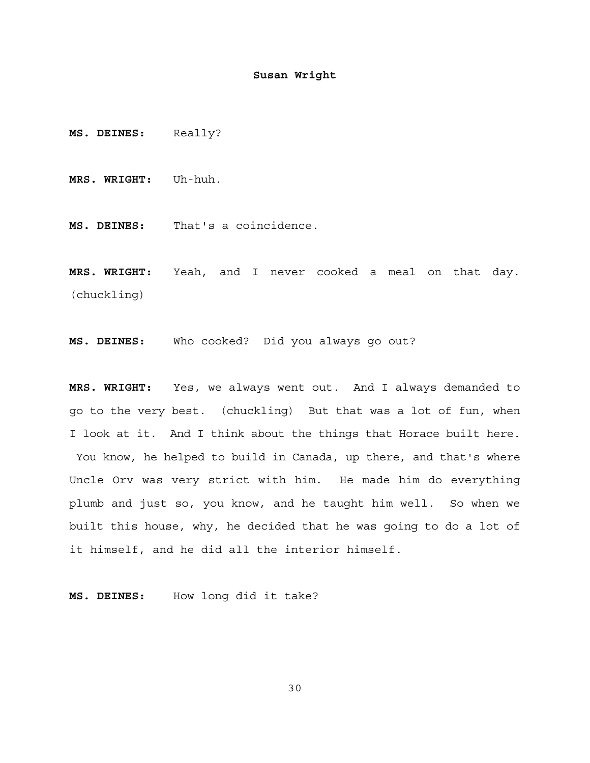**MS. DEINES:** Really?

**MRS. WRIGHT:** Uh-huh.

**MS. DEINES:** That's a coincidence.

**MRS. WRIGHT:** Yeah, and I never cooked a meal on that day. (chuckling)

**MS. DEINES:** Who cooked? Did you always go out?

**MRS. WRIGHT:** Yes, we always went out. And I always demanded to go to the very best. (chuckling) But that was a lot of fun, when I look at it. And I think about the things that Horace built here. You know, he helped to build in Canada, up there, and that's where Uncle Orv was very strict with him. He made him do everything plumb and just so, you know, and he taught him well. So when we built this house, why, he decided that he was going to do a lot of it himself, and he did all the interior himself.

**MS. DEINES:** How long did it take?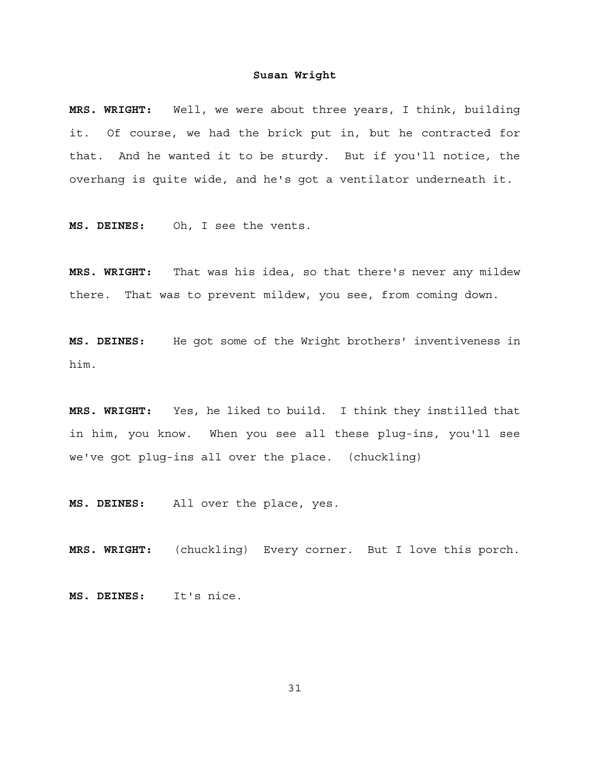**MRS. WRIGHT:** Well, we were about three years, I think, building it. Of course, we had the brick put in, but he contracted for that. And he wanted it to be sturdy. But if you'll notice, the overhang is quite wide, and he's got a ventilator underneath it.

**MS. DEINES:** Oh, I see the vents.

**MRS. WRIGHT:** That was his idea, so that there's never any mildew there. That was to prevent mildew, you see, from coming down.

**MS. DEINES:** He got some of the Wright brothers' inventiveness in him.

**MRS. WRIGHT:** Yes, he liked to build. I think they instilled that in him, you know. When you see all these plug-ins, you'll see we've got plug-ins all over the place. (chuckling)

**MS. DEINES:** All over the place, yes.

**MRS. WRIGHT:** (chuckling) Every corner. But I love this porch.

**MS. DEINES:** It's nice.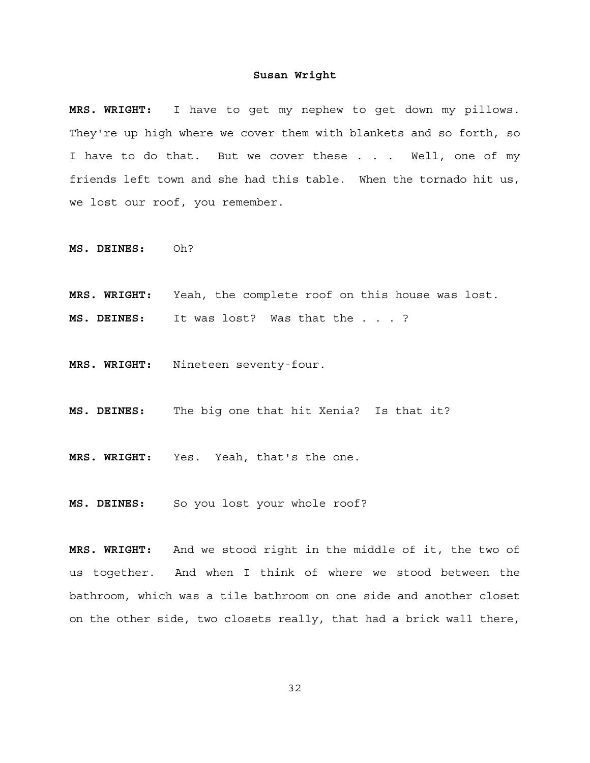**MRS. WRIGHT:** I have to get my nephew to get down my pillows. They're up high where we cover them with blankets and so forth, so I have to do that. But we cover these . . . Well, one of my friends left town and she had this table. When the tornado hit us, we lost our roof, you remember.

**MS. DEINES:** Oh?

**MRS. WRIGHT:** Yeah, the complete roof on this house was lost.

**MS. DEINES:** It was lost? Was that the . . . ?

- **MRS. WRIGHT:** Nineteen seventy-four.
- **MS. DEINES:** The big one that hit Xenia? Is that it?
- **MRS. WRIGHT:** Yes. Yeah, that's the one.

**MS. DEINES:** So you lost your whole roof?

**MRS. WRIGHT:** And we stood right in the middle of it, the two of us together. And when I think of where we stood between the bathroom, which was a tile bathroom on one side and another closet on the other side, two closets really, that had a brick wall there,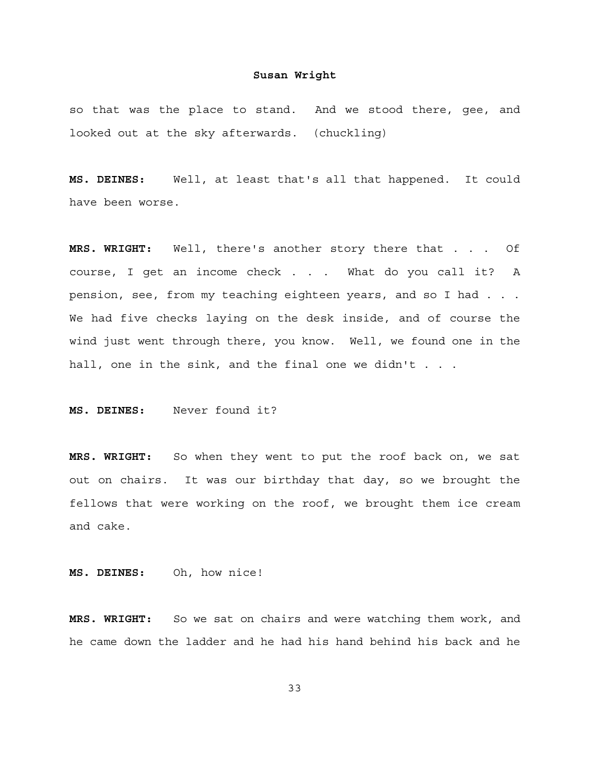so that was the place to stand. And we stood there, gee, and looked out at the sky afterwards. (chuckling)

**MS. DEINES:** Well, at least that's all that happened. It could have been worse.

**MRS. WRIGHT:** Well, there's another story there that . . . Of course, I get an income check . . . What do you call it? A pension, see, from my teaching eighteen years, and so I had . . . We had five checks laying on the desk inside, and of course the wind just went through there, you know. Well, we found one in the hall, one in the sink, and the final one we didn't . . .

**MS. DEINES:** Never found it?

**MRS. WRIGHT:** So when they went to put the roof back on, we sat out on chairs. It was our birthday that day, so we brought the fellows that were working on the roof, we brought them ice cream and cake.

**MS. DEINES:** Oh, how nice!

**MRS. WRIGHT:** So we sat on chairs and were watching them work, and he came down the ladder and he had his hand behind his back and he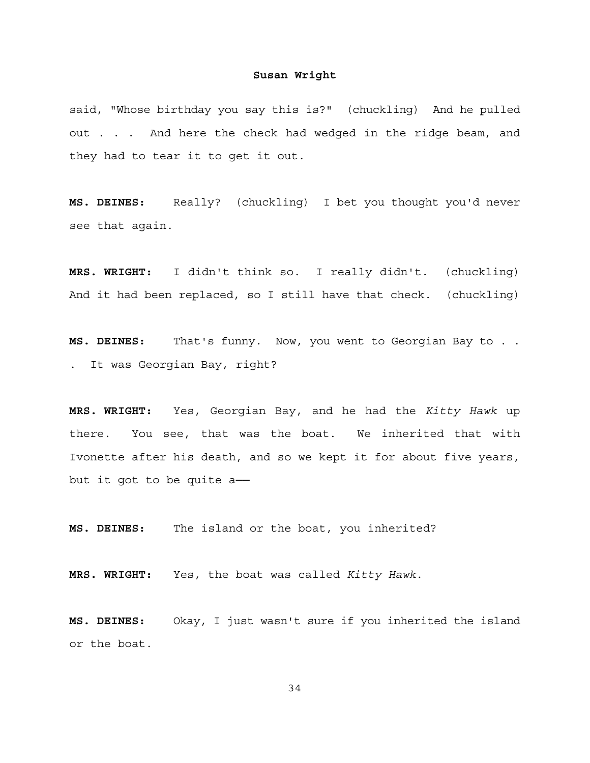said, "Whose birthday you say this is?" (chuckling) And he pulled out . . . And here the check had wedged in the ridge beam, and they had to tear it to get it out.

**MS. DEINES:** Really? (chuckling) I bet you thought you'd never see that again.

**MRS. WRIGHT:** I didn't think so. I really didn't. (chuckling) And it had been replaced, so I still have that check. (chuckling)

**MS. DEINES:** That's funny. Now, you went to Georgian Bay to . . . It was Georgian Bay, right?

**MRS. WRIGHT:** Yes, Georgian Bay, and he had the *Kitty Hawk* up there. You see, that was the boat. We inherited that with Ivonette after his death, and so we kept it for about five years, but it got to be quite a-

**MS. DEINES:** The island or the boat, you inherited?

**MRS. WRIGHT:** Yes, the boat was called *Kitty Hawk*.

**MS. DEINES:** Okay, I just wasn't sure if you inherited the island or the boat.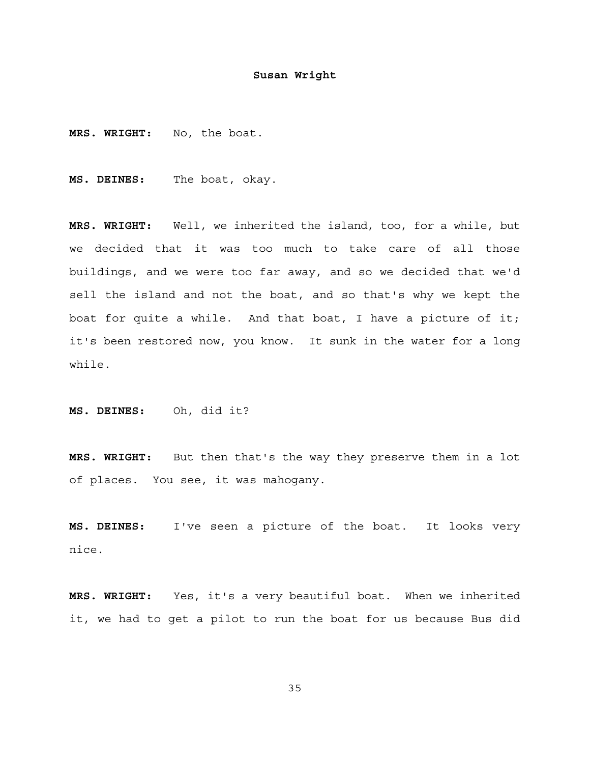**MRS. WRIGHT:** No, the boat.

**MS. DEINES:** The boat, okay.

**MRS. WRIGHT:** Well, we inherited the island, too, for a while, but we decided that it was too much to take care of all those buildings, and we were too far away, and so we decided that we'd sell the island and not the boat, and so that's why we kept the boat for quite a while. And that boat, I have a picture of it; it's been restored now, you know. It sunk in the water for a long while.

**MS. DEINES:** Oh, did it?

**MRS. WRIGHT:** But then that's the way they preserve them in a lot of places. You see, it was mahogany.

**MS. DEINES:** I've seen a picture of the boat. It looks very nice.

**MRS. WRIGHT:** Yes, it's a very beautiful boat. When we inherited it, we had to get a pilot to run the boat for us because Bus did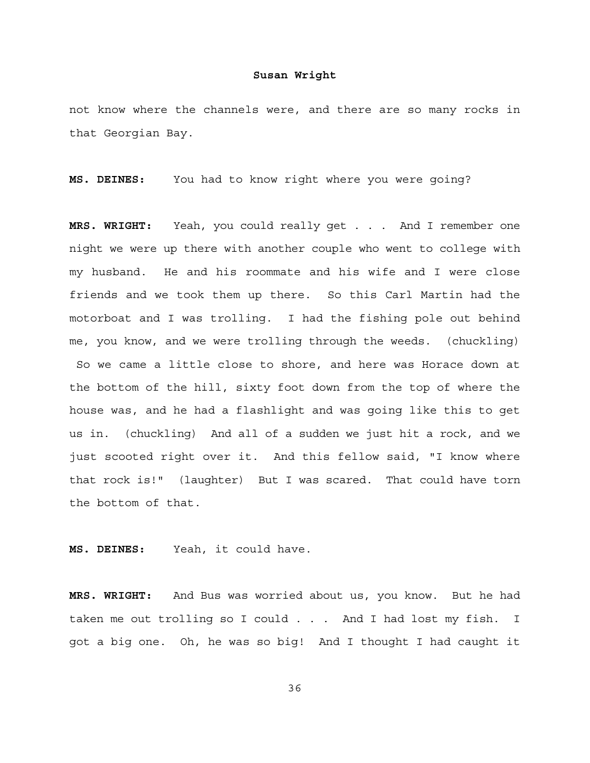not know where the channels were, and there are so many rocks in that Georgian Bay.

**MS. DEINES:** You had to know right where you were going?

**MRS. WRIGHT:** Yeah, you could really get . . . And I remember one night we were up there with another couple who went to college with my husband. He and his roommate and his wife and I were close friends and we took them up there. So this Carl Martin had the motorboat and I was trolling. I had the fishing pole out behind me, you know, and we were trolling through the weeds. (chuckling) So we came a little close to shore, and here was Horace down at the bottom of the hill, sixty foot down from the top of where the house was, and he had a flashlight and was going like this to get us in. (chuckling) And all of a sudden we just hit a rock, and we just scooted right over it. And this fellow said, "I know where that rock is!" (laughter) But I was scared. That could have torn the bottom of that.

**MS. DEINES:** Yeah, it could have.

**MRS. WRIGHT:** And Bus was worried about us, you know. But he had taken me out trolling so I could . . . And I had lost my fish. I got a big one. Oh, he was so big! And I thought I had caught it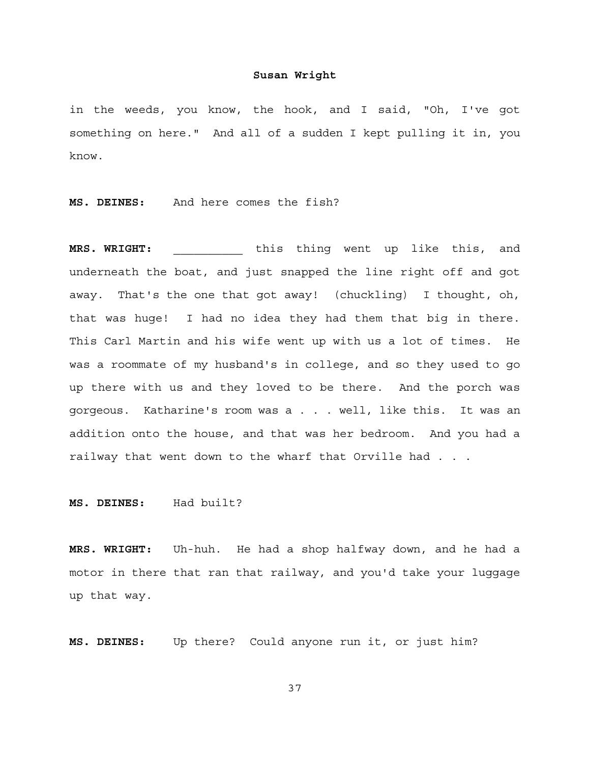in the weeds, you know, the hook, and I said, "Oh, I've got something on here." And all of a sudden I kept pulling it in, you know.

**MS. DEINES:** And here comes the fish?

**MRS. WRIGHT:** \_\_\_\_\_\_\_\_\_\_ this thing went up like this, and underneath the boat, and just snapped the line right off and got away. That's the one that got away! (chuckling) I thought, oh, that was huge! I had no idea they had them that big in there. This Carl Martin and his wife went up with us a lot of times. He was a roommate of my husband's in college, and so they used to go up there with us and they loved to be there. And the porch was gorgeous. Katharine's room was a . . . well, like this. It was an addition onto the house, and that was her bedroom. And you had a railway that went down to the wharf that Orville had . . .

**MS. DEINES:** Had built?

**MRS. WRIGHT:** Uh-huh. He had a shop halfway down, and he had a motor in there that ran that railway, and you'd take your luggage up that way.

**MS. DEINES:** Up there? Could anyone run it, or just him?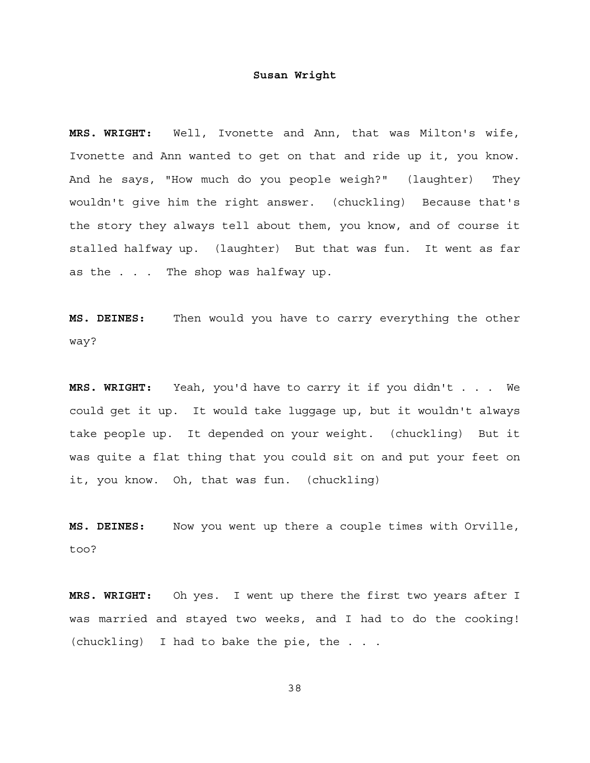**MRS. WRIGHT:** Well, Ivonette and Ann, that was Milton's wife, Ivonette and Ann wanted to get on that and ride up it, you know. And he says, "How much do you people weigh?" (laughter) They wouldn't give him the right answer. (chuckling) Because that's the story they always tell about them, you know, and of course it stalled halfway up. (laughter) But that was fun. It went as far as the . . . The shop was halfway up.

**MS. DEINES:** Then would you have to carry everything the other way?

**MRS. WRIGHT:** Yeah, you'd have to carry it if you didn't . . . We could get it up. It would take luggage up, but it wouldn't always take people up. It depended on your weight. (chuckling) But it was quite a flat thing that you could sit on and put your feet on it, you know. Oh, that was fun. (chuckling)

**MS. DEINES:** Now you went up there a couple times with Orville, too?

**MRS. WRIGHT:** Oh yes. I went up there the first two years after I was married and stayed two weeks, and I had to do the cooking! (chuckling) I had to bake the pie, the . . .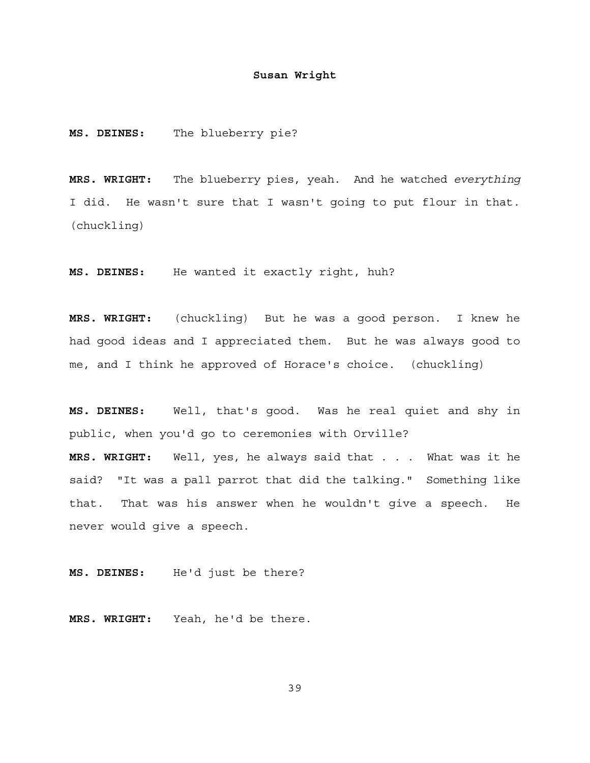**MS. DEINES:** The blueberry pie?

**MRS. WRIGHT:** The blueberry pies, yeah. And he watched *everything* I did. He wasn't sure that I wasn't going to put flour in that. (chuckling)

**MS. DEINES:** He wanted it exactly right, huh?

**MRS. WRIGHT:** (chuckling) But he was a good person. I knew he had good ideas and I appreciated them. But he was always good to me, and I think he approved of Horace's choice. (chuckling)

**MS. DEINES:** Well, that's good. Was he real quiet and shy in public, when you'd go to ceremonies with Orville? **MRS. WRIGHT:** Well, yes, he always said that . . . What was it he said? "It was a pall parrot that did the talking." Something like that. That was his answer when he wouldn't give a speech. He never would give a speech.

**MS. DEINES:** He'd just be there?

**MRS. WRIGHT:** Yeah, he'd be there.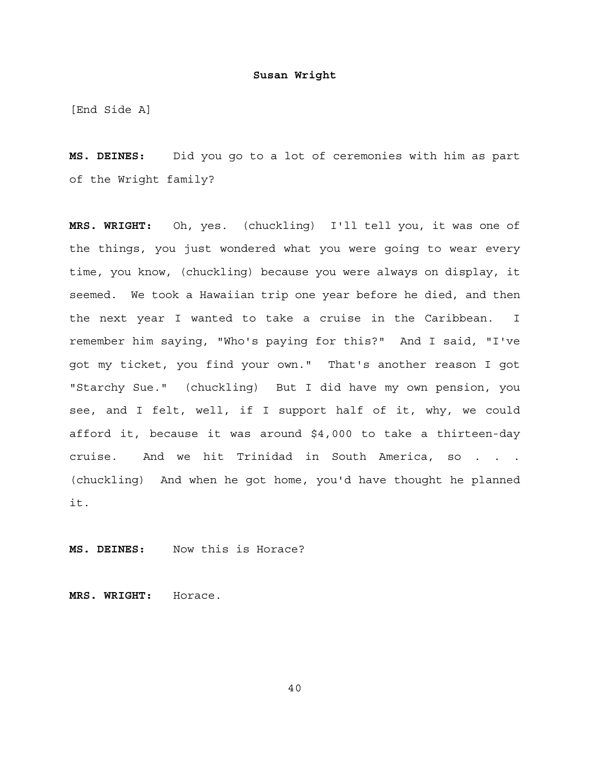[End Side A]

**MS. DEINES:** Did you go to a lot of ceremonies with him as part of the Wright family?

**MRS. WRIGHT:** Oh, yes. (chuckling) I'll tell you, it was one of the things, you just wondered what you were going to wear every time, you know, (chuckling) because you were always on display, it seemed. We took a Hawaiian trip one year before he died, and then the next year I wanted to take a cruise in the Caribbean. I remember him saying, "Who's paying for this?" And I said, "I've got my ticket, you find your own." That's another reason I got "Starchy Sue." (chuckling) But I did have my own pension, you see, and I felt, well, if I support half of it, why, we could afford it, because it was around \$4,000 to take a thirteen-day cruise. And we hit Trinidad in South America, so . . . (chuckling) And when he got home, you'd have thought he planned it.

**MS. DEINES:** Now this is Horace?

**MRS. WRIGHT:** Horace.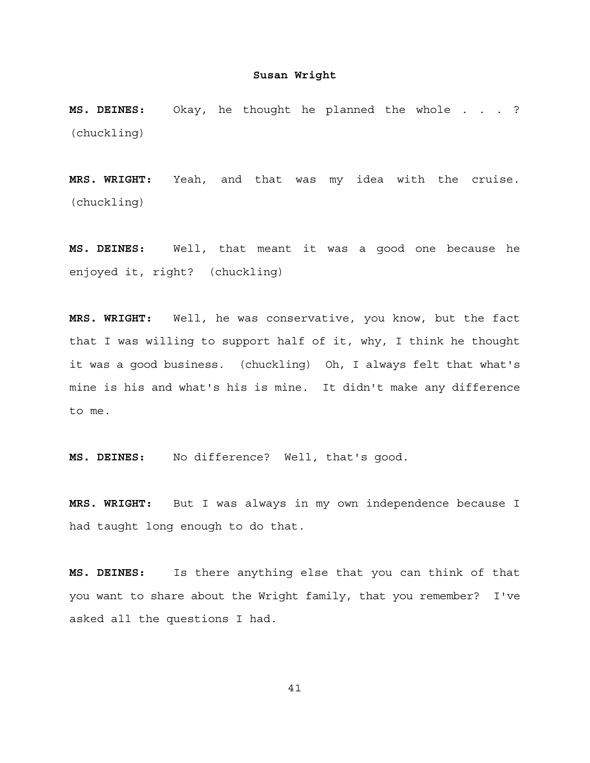**MS. DEINES:** Okay, he thought he planned the whole . . . ? (chuckling)

**MRS. WRIGHT:** Yeah, and that was my idea with the cruise. (chuckling)

**MS. DEINES:** Well, that meant it was a good one because he enjoyed it, right? (chuckling)

**MRS. WRIGHT:** Well, he was conservative, you know, but the fact that I was willing to support half of it, why, I think he thought it was a good business. (chuckling) Oh, I always felt that what's mine is his and what's his is mine. It didn't make any difference to me.

**MS. DEINES:** No difference? Well, that's good.

**MRS. WRIGHT:** But I was always in my own independence because I had taught long enough to do that.

**MS. DEINES:** Is there anything else that you can think of that you want to share about the Wright family, that you remember? I've asked all the questions I had.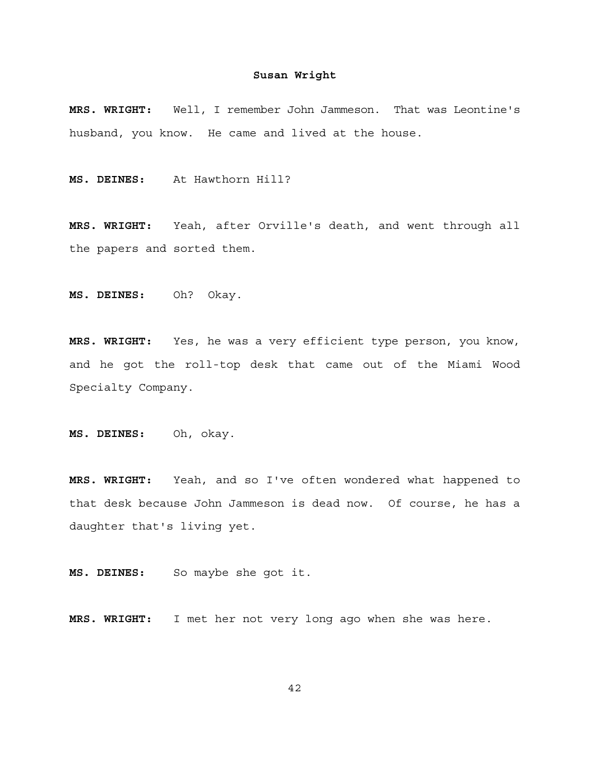**MRS. WRIGHT:** Well, I remember John Jammeson. That was Leontine's husband, you know. He came and lived at the house.

**MS. DEINES:** At Hawthorn Hill?

**MRS. WRIGHT:** Yeah, after Orville's death, and went through all the papers and sorted them.

**MS. DEINES:** Oh? Okay.

**MRS. WRIGHT:** Yes, he was a very efficient type person, you know, and he got the roll-top desk that came out of the Miami Wood Specialty Company.

**MS. DEINES:** Oh, okay.

**MRS. WRIGHT:** Yeah, and so I've often wondered what happened to that desk because John Jammeson is dead now. Of course, he has a daughter that's living yet.

**MS. DEINES:** So maybe she got it.

**MRS. WRIGHT:** I met her not very long ago when she was here.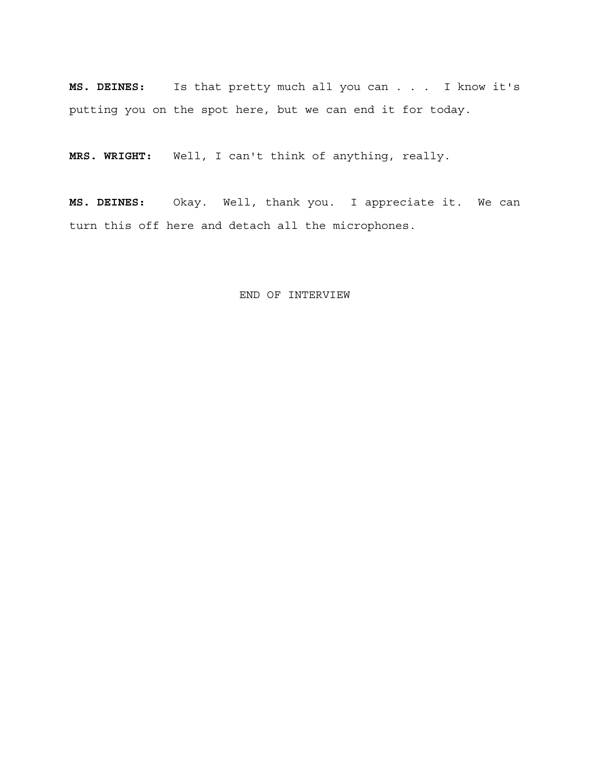**MS. DEINES:** Is that pretty much all you can . . . I know it's putting you on the spot here, but we can end it for today.

**MRS. WRIGHT:** Well, I can't think of anything, really.

**MS. DEINES:** Okay. Well, thank you. I appreciate it. We can turn this off here and detach all the microphones.

## END OF INTERVIEW